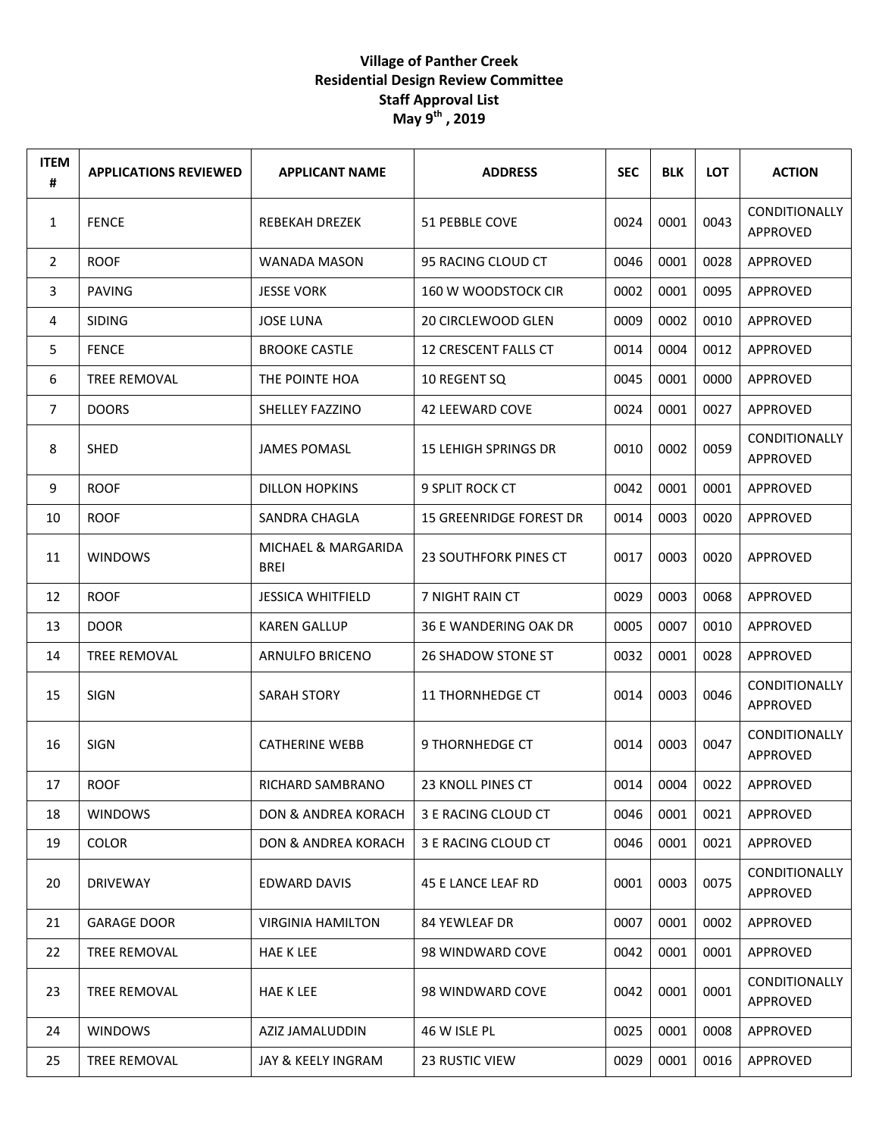## **Village of Panther Creek Residential Design Review Committee Staff Approval List May 9 th , 2019**

| <b>ITEM</b><br># | <b>APPLICATIONS REVIEWED</b> | <b>APPLICANT NAME</b>              | <b>ADDRESS</b>                 | <b>SEC</b> | <b>BLK</b> | <b>LOT</b> | <b>ACTION</b>                    |
|------------------|------------------------------|------------------------------------|--------------------------------|------------|------------|------------|----------------------------------|
| $\mathbf{1}$     | <b>FENCE</b>                 | <b>REBEKAH DREZEK</b>              | 51 PEBBLE COVE                 | 0024       | 0001       | 0043       | <b>CONDITIONALLY</b><br>APPROVED |
| $\overline{2}$   | <b>ROOF</b>                  | WANADA MASON                       | 95 RACING CLOUD CT             | 0046       | 0001       | 0028       | APPROVED                         |
| 3                | <b>PAVING</b>                | <b>JESSE VORK</b>                  | 160 W WOODSTOCK CIR            | 0002       | 0001       | 0095       | APPROVED                         |
| 4                | <b>SIDING</b>                | <b>JOSE LUNA</b>                   | <b>20 CIRCLEWOOD GLEN</b>      | 0009       | 0002       | 0010       | APPROVED                         |
| 5                | <b>FENCE</b>                 | <b>BROOKE CASTLE</b>               | 12 CRESCENT FALLS CT           | 0014       | 0004       | 0012       | APPROVED                         |
| 6                | TREE REMOVAL                 | THE POINTE HOA                     | 10 REGENT SQ                   | 0045       | 0001       | 0000       | APPROVED                         |
| $\overline{7}$   | <b>DOORS</b>                 | SHELLEY FAZZINO                    | <b>42 LEEWARD COVE</b>         | 0024       | 0001       | 0027       | APPROVED                         |
| 8                | SHED                         | <b>JAMES POMASL</b>                | <b>15 LEHIGH SPRINGS DR</b>    | 0010       | 0002       | 0059       | <b>CONDITIONALLY</b><br>APPROVED |
| 9                | <b>ROOF</b>                  | <b>DILLON HOPKINS</b>              | 9 SPLIT ROCK CT                | 0042       | 0001       | 0001       | APPROVED                         |
| 10               | <b>ROOF</b>                  | SANDRA CHAGLA                      | <b>15 GREENRIDGE FOREST DR</b> | 0014       | 0003       | 0020       | APPROVED                         |
| 11               | <b>WINDOWS</b>               | MICHAEL & MARGARIDA<br><b>BREI</b> | <b>23 SOUTHFORK PINES CT</b>   | 0017       | 0003       | 0020       | APPROVED                         |
| 12               | <b>ROOF</b>                  | <b>JESSICA WHITFIELD</b>           | 7 NIGHT RAIN CT                | 0029       | 0003       | 0068       | APPROVED                         |
| 13               | <b>DOOR</b>                  | <b>KAREN GALLUP</b>                | <b>36 E WANDERING OAK DR</b>   | 0005       | 0007       | 0010       | APPROVED                         |
| 14               | <b>TREE REMOVAL</b>          | ARNULFO BRICENO                    | <b>26 SHADOW STONE ST</b>      | 0032       | 0001       | 0028       | APPROVED                         |
| 15               | <b>SIGN</b>                  | <b>SARAH STORY</b>                 | <b>11 THORNHEDGE CT</b>        | 0014       | 0003       | 0046       | <b>CONDITIONALLY</b><br>APPROVED |
| 16               | SIGN                         | <b>CATHERINE WEBB</b>              | 9 THORNHEDGE CT                | 0014       | 0003       | 0047       | <b>CONDITIONALLY</b><br>APPROVED |
| 17               | <b>ROOF</b>                  | RICHARD SAMBRANO                   | 23 KNOLL PINES CT              | 0014       | 0004       | 0022       | APPROVED                         |
| 18               | <b>WINDOWS</b>               | DON & ANDREA KORACH                | 3 E RACING CLOUD CT            | 0046       | 0001       | 0021       | APPROVED                         |
| 19               | COLOR                        | DON & ANDREA KORACH                | 3 E RACING CLOUD CT            | 0046       | 0001       | 0021       | APPROVED                         |
| 20               | <b>DRIVEWAY</b>              | <b>EDWARD DAVIS</b>                | 45 E LANCE LEAF RD             | 0001       | 0003       | 0075       | CONDITIONALLY<br>APPROVED        |
| 21               | <b>GARAGE DOOR</b>           | <b>VIRGINIA HAMILTON</b>           | <b>84 YEWLEAF DR</b>           | 0007       | 0001       | 0002       | APPROVED                         |
| 22               | TREE REMOVAL                 | <b>HAE K LEE</b>                   | 98 WINDWARD COVE               | 0042       | 0001       | 0001       | APPROVED                         |
| 23               | TREE REMOVAL                 | <b>HAE K LEE</b>                   | 98 WINDWARD COVE               | 0042       | 0001       | 0001       | CONDITIONALLY<br>APPROVED        |
| 24               | <b>WINDOWS</b>               | AZIZ JAMALUDDIN                    | 46 W ISLE PL                   | 0025       | 0001       | 0008       | APPROVED                         |
| 25               | TREE REMOVAL                 | JAY & KEELY INGRAM                 | 23 RUSTIC VIEW                 | 0029       | 0001       | 0016       | APPROVED                         |